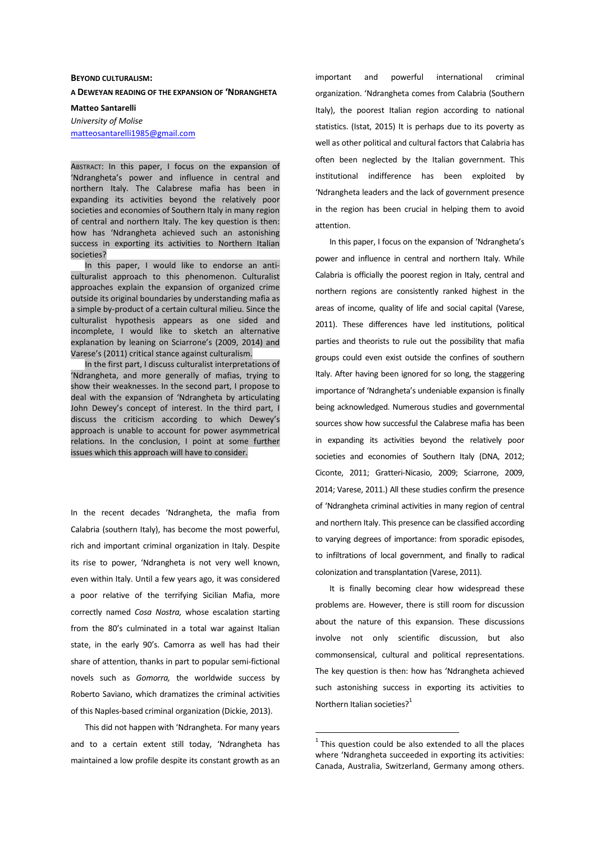## **BEYOND CULTURALISM:**

**A DEWEYAN READING OF THE EXPANSION OF 'NDRANGHETA**

**Matteo Santarelli** 

*University of Molise*  matteosantarelli1985@gmail.com

ABSTRACT: In this paper, I focus on the expansion of 'Ndrangheta's power and influence in central and northern Italy. The Calabrese mafia has been in expanding its activities beyond the relatively poor societies and economies of Southern Italy in many region of central and northern Italy. The key question is then: how has 'Ndrangheta achieved such an astonishing success in exporting its activities to Northern Italian societies?

In this paper, I would like to endorse an anticulturalist approach to this phenomenon. Culturalist approaches explain the expansion of organized crime outside its original boundaries by understanding mafia as a simple by-product of a certain cultural milieu. Since the culturalist hypothesis appears as one sided and incomplete, I would like to sketch an alternative explanation by leaning on Sciarrone's (2009, 2014) and Varese's (2011) critical stance against culturalism.

In the first part, I discuss culturalist interpretations of 'Ndrangheta, and more generally of mafias, trying to show their weaknesses. In the second part, I propose to deal with the expansion of 'Ndrangheta by articulating John Dewey's concept of interest. In the third part, I discuss the criticism according to which Dewey's approach is unable to account for power asymmetrical relations. In the conclusion, I point at some further issues which this approach will have to consider.

In the recent decades 'Ndrangheta, the mafia from Calabria (southern Italy), has become the most powerful, rich and important criminal organization in Italy. Despite its rise to power, 'Ndrangheta is not very well known, even within Italy. Until a few years ago, it was considered a poor relative of the terrifying Sicilian Mafia, more correctly named *Cosa Nostra,* whose escalation starting from the 80's culminated in a total war against Italian state, in the early 90's. Camorra as well has had their share of attention, thanks in part to popular semi-fictional novels such as *Gomorra,* the worldwide success by Roberto Saviano, which dramatizes the criminal activities of this Naples-based criminal organization (Dickie, 2013).

This did not happen with 'Ndrangheta. For many years and to a certain extent still today, 'Ndrangheta has maintained a low profile despite its constant growth as an important and powerful international criminal organization. 'Ndrangheta comes from Calabria (Southern Italy), the poorest Italian region according to national statistics. (Istat, 2015) It is perhaps due to its poverty as well as other political and cultural factors that Calabria has often been neglected by the Italian government. This institutional indifference has been exploited by 'Ndrangheta leaders and the lack of government presence in the region has been crucial in helping them to avoid attention.

In this paper, I focus on the expansion of 'Ndrangheta's power and influence in central and northern Italy. While Calabria is officially the poorest region in Italy, central and northern regions are consistently ranked highest in the areas of income, quality of life and social capital (Varese, 2011). These differences have led institutions, political parties and theorists to rule out the possibility that mafia groups could even exist outside the confines of southern Italy. After having been ignored for so long, the staggering importance of 'Ndrangheta's undeniable expansion is finally being acknowledged. Numerous studies and governmental sources show how successful the Calabrese mafia has been in expanding its activities beyond the relatively poor societies and economies of Southern Italy (DNA, 2012; Ciconte, 2011; Gratteri-Nicasio, 2009; Sciarrone, 2009, 2014; Varese, 2011.) All these studies confirm the presence of 'Ndrangheta criminal activities in many region of central and northern Italy. This presence can be classified according to varying degrees of importance: from sporadic episodes, to infiltrations of local government, and finally to radical colonization and transplantation (Varese, 2011).

It is finally becoming clear how widespread these problems are. However, there is still room for discussion about the nature of this expansion. These discussions involve not only scientific discussion, but also commonsensical, cultural and political representations. The key question is then: how has 'Ndrangheta achieved such astonishing success in exporting its activities to Northern Italian societies? $1$ 

 $1$  This question could be also extended to all the places where 'Ndrangheta succeeded in exporting its activities: Canada, Australia, Switzerland, Germany among others.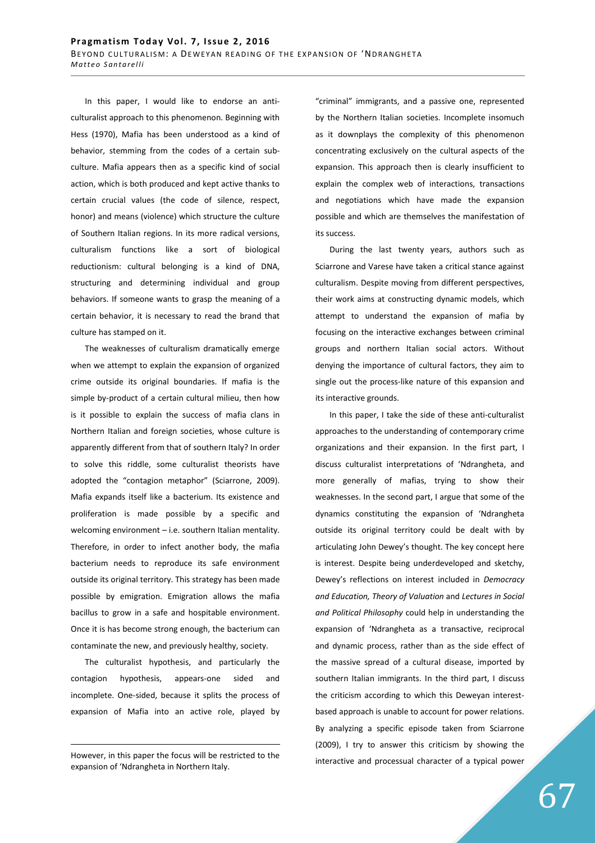In this paper, I would like to endorse an anticulturalist approach to this phenomenon. Beginning with Hess (1970), Mafia has been understood as a kind of behavior, stemming from the codes of a certain subculture. Mafia appears then as a specific kind of social action, which is both produced and kept active thanks to certain crucial values (the code of silence, respect, honor) and means (violence) which structure the culture of Southern Italian regions. In its more radical versions, culturalism functions like a sort of biological reductionism: cultural belonging is a kind of DNA, structuring and determining individual and group behaviors. If someone wants to grasp the meaning of a certain behavior, it is necessary to read the brand that culture has stamped on it.

The weaknesses of culturalism dramatically emerge when we attempt to explain the expansion of organized crime outside its original boundaries. If mafia is the simple by-product of a certain cultural milieu, then how is it possible to explain the success of mafia clans in Northern Italian and foreign societies, whose culture is apparently different from that of southern Italy? In order to solve this riddle, some culturalist theorists have adopted the "contagion metaphor" (Sciarrone, 2009). Mafia expands itself like a bacterium. Its existence and proliferation is made possible by a specific and welcoming environment – i.e. southern Italian mentality. Therefore, in order to infect another body, the mafia bacterium needs to reproduce its safe environment outside its original territory. This strategy has been made possible by emigration. Emigration allows the mafia bacillus to grow in a safe and hospitable environment. Once it is has become strong enough, the bacterium can contaminate the new, and previously healthy, society.

The culturalist hypothesis, and particularly the contagion hypothesis, appears-one sided and incomplete. One-sided, because it splits the process of expansion of Mafia into an active role, played by

<u>.</u>

"criminal" immigrants, and a passive one, represented by the Northern Italian societies. Incomplete insomuch as it downplays the complexity of this phenomenon concentrating exclusively on the cultural aspects of the expansion. This approach then is clearly insufficient to explain the complex web of interactions, transactions and negotiations which have made the expansion possible and which are themselves the manifestation of its success.

During the last twenty years, authors such as Sciarrone and Varese have taken a critical stance against culturalism. Despite moving from different perspectives, their work aims at constructing dynamic models, which attempt to understand the expansion of mafia by focusing on the interactive exchanges between criminal groups and northern Italian social actors. Without denying the importance of cultural factors, they aim to single out the process-like nature of this expansion and its interactive grounds.

In this paper, I take the side of these anti-culturalist approaches to the understanding of contemporary crime organizations and their expansion. In the first part, I discuss culturalist interpretations of 'Ndrangheta, and more generally of mafias, trying to show their weaknesses. In the second part, I argue that some of the dynamics constituting the expansion of 'Ndrangheta outside its original territory could be dealt with by articulating John Dewey's thought. The key concept here is interest. Despite being underdeveloped and sketchy, Dewey's reflections on interest included in *Democracy and Education, Theory of Valuation* and *Lectures in Social and Political Philosophy* could help in understanding the expansion of 'Ndrangheta as a transactive, reciprocal and dynamic process, rather than as the side effect of the massive spread of a cultural disease, imported by southern Italian immigrants. In the third part, I discuss the criticism according to which this Deweyan interestbased approach is unable to account for power relations. By analyzing a specific episode taken from Sciarrone (2009), I try to answer this criticism by showing the interactive and processual character of a typical power

However, in this paper the focus will be restricted to the expansion of 'Ndrangheta in Northern Italy.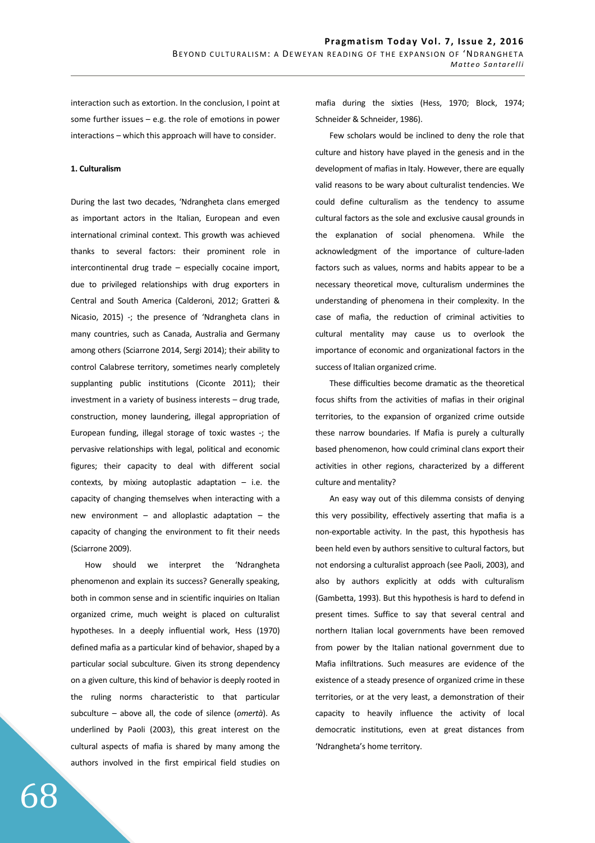interaction such as extortion. In the conclusion, I point at some further issues – e.g. the role of emotions in power interactions – which this approach will have to consider.

## **1. Culturalism**

During the last two decades, 'Ndrangheta clans emerged as important actors in the Italian, European and even international criminal context. This growth was achieved thanks to several factors: their prominent role in intercontinental drug trade – especially cocaine import, due to privileged relationships with drug exporters in Central and South America (Calderoni, 2012; Gratteri & Nicasio, 2015) -; the presence of 'Ndrangheta clans in many countries, such as Canada, Australia and Germany among others (Sciarrone 2014, Sergi 2014); their ability to control Calabrese territory, sometimes nearly completely supplanting public institutions (Ciconte 2011); their investment in a variety of business interests – drug trade, construction, money laundering, illegal appropriation of European funding, illegal storage of toxic wastes -; the pervasive relationships with legal, political and economic figures; their capacity to deal with different social contexts, by mixing autoplastic adaptation  $-$  i.e. the capacity of changing themselves when interacting with a new environment – and alloplastic adaptation – the capacity of changing the environment to fit their needs (Sciarrone 2009).

How should we interpret the 'Ndrangheta phenomenon and explain its success? Generally speaking, both in common sense and in scientific inquiries on Italian organized crime, much weight is placed on culturalist hypotheses. In a deeply influential work, Hess (1970) defined mafia as a particular kind of behavior, shaped by a particular social subculture. Given its strong dependency on a given culture, this kind of behavior is deeply rooted in the ruling norms characteristic to that particular subculture – above all, the code of silence (*omertà*). As underlined by Paoli (2003), this great interest on the cultural aspects of mafia is shared by many among the authors involved in the first empirical field studies on mafia during the sixties (Hess, 1970; Block, 1974; Schneider & Schneider, 1986).

Few scholars would be inclined to deny the role that culture and history have played in the genesis and in the development of mafias in Italy. However, there are equally valid reasons to be wary about culturalist tendencies. We could define culturalism as the tendency to assume cultural factors as the sole and exclusive causal grounds in the explanation of social phenomena. While the acknowledgment of the importance of culture-laden factors such as values, norms and habits appear to be a necessary theoretical move, culturalism undermines the understanding of phenomena in their complexity. In the case of mafia, the reduction of criminal activities to cultural mentality may cause us to overlook the importance of economic and organizational factors in the success of Italian organized crime.

These difficulties become dramatic as the theoretical focus shifts from the activities of mafias in their original territories, to the expansion of organized crime outside these narrow boundaries. If Mafia is purely a culturally based phenomenon, how could criminal clans export their activities in other regions, characterized by a different culture and mentality?

An easy way out of this dilemma consists of denying this very possibility, effectively asserting that mafia is a non-exportable activity. In the past, this hypothesis has been held even by authors sensitive to cultural factors, but not endorsing a culturalist approach (see Paoli, 2003), and also by authors explicitly at odds with culturalism (Gambetta, 1993). But this hypothesis is hard to defend in present times. Suffice to say that several central and northern Italian local governments have been removed from power by the Italian national government due to Mafia infiltrations. Such measures are evidence of the existence of a steady presence of organized crime in these territories, or at the very least, a demonstration of their capacity to heavily influence the activity of local democratic institutions, even at great distances from 'Ndrangheta's home territory.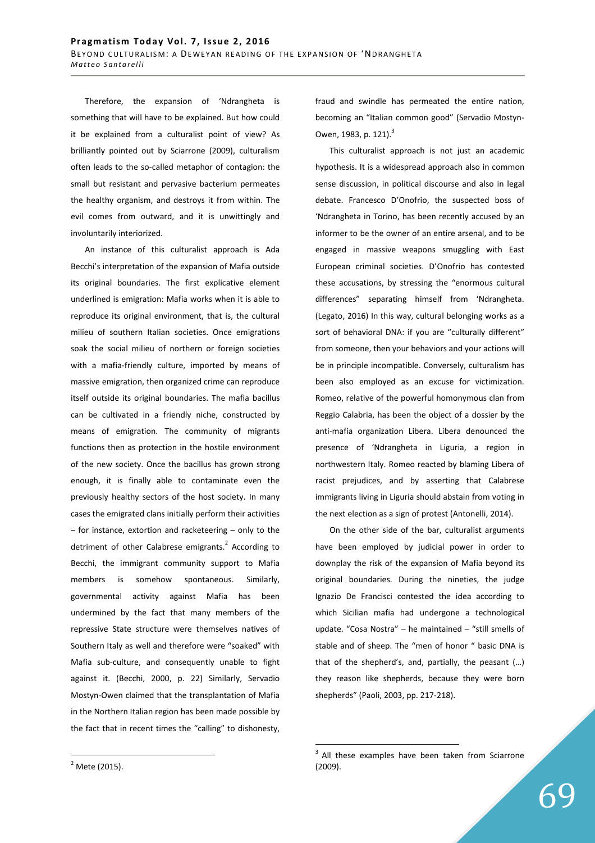Therefore, the expansion of 'Ndrangheta is something that will have to be explained. But how could it be explained from a culturalist point of view? As brilliantly pointed out by Sciarrone (2009), culturalism often leads to the so-called metaphor of contagion: the small but resistant and pervasive bacterium permeates the healthy organism, and destroys it from within. The evil comes from outward, and it is unwittingly and involuntarily interiorized.

An instance of this culturalist approach is Ada Becchi's interpretation of the expansion of Mafia outside its original boundaries. The first explicative element underlined is emigration: Mafia works when it is able to reproduce its original environment, that is, the cultural milieu of southern Italian societies. Once emigrations soak the social milieu of northern or foreign societies with a mafia-friendly culture, imported by means of massive emigration, then organized crime can reproduce itself outside its original boundaries. The mafia bacillus can be cultivated in a friendly niche, constructed by means of emigration. The community of migrants functions then as protection in the hostile environment of the new society. Once the bacillus has grown strong enough, it is finally able to contaminate even the previously healthy sectors of the host society. In many cases the emigrated clans initially perform their activities – for instance, extortion and racketeering – only to the detriment of other Calabrese emigrants.<sup>2</sup> According to Becchi, the immigrant community support to Mafia members is somehow spontaneous. Similarly, governmental activity against Mafia has been undermined by the fact that many members of the repressive State structure were themselves natives of Southern Italy as well and therefore were "soaked" with Mafia sub-culture, and consequently unable to fight against it. (Becchi, 2000, p. 22) Similarly, Servadio Mostyn-Owen claimed that the transplantation of Mafia in the Northern Italian region has been made possible by the fact that in recent times the "calling" to dishonesty, fraud and swindle has permeated the entire nation, becoming an "Italian common good" (Servadio Mostyn-Owen, 1983, p. 121).<sup>3</sup>

This culturalist approach is not just an academic hypothesis. It is a widespread approach also in common sense discussion, in political discourse and also in legal debate. Francesco D'Onofrio, the suspected boss of 'Ndrangheta in Torino, has been recently accused by an informer to be the owner of an entire arsenal, and to be engaged in massive weapons smuggling with East European criminal societies. D'Onofrio has contested these accusations, by stressing the "enormous cultural differences" separating himself from 'Ndrangheta. (Legato, 2016) In this way, cultural belonging works as a sort of behavioral DNA: if you are "culturally different" from someone, then your behaviors and your actions will be in principle incompatible. Conversely, culturalism has been also employed as an excuse for victimization. Romeo, relative of the powerful homonymous clan from Reggio Calabria, has been the object of a dossier by the anti-mafia organization Libera. Libera denounced the presence of 'Ndrangheta in Liguria, a region in northwestern Italy. Romeo reacted by blaming Libera of racist prejudices, and by asserting that Calabrese immigrants living in Liguria should abstain from voting in the next election as a sign of protest (Antonelli, 2014).

On the other side of the bar, culturalist arguments have been employed by judicial power in order to downplay the risk of the expansion of Mafia beyond its original boundaries. During the nineties, the judge Ignazio De Francisci contested the idea according to which Sicilian mafia had undergone a technological update. "Cosa Nostra" – he maintained – "still smells of stable and of sheep. The "men of honor " basic DNA is that of the shepherd's, and, partially, the peasant (…) they reason like shepherds, because they were born shepherds" (Paoli, 2003, pp. 217-218).

 $\overline{a}$ 

 $3$  All these examples have been taken from Sciarrone (2009).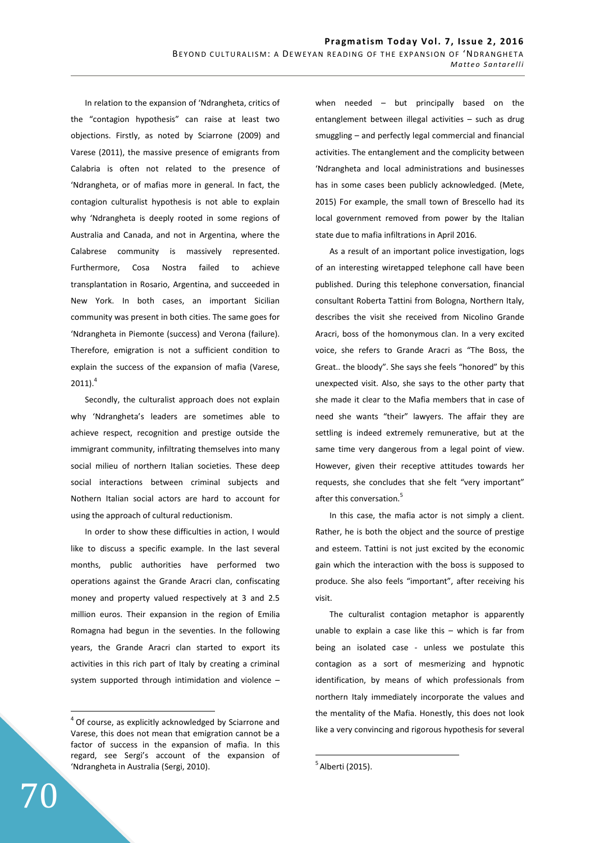In relation to the expansion of 'Ndrangheta, critics of the "contagion hypothesis" can raise at least two objections. Firstly, as noted by Sciarrone (2009) and Varese (2011), the massive presence of emigrants from Calabria is often not related to the presence of 'Ndrangheta, or of mafias more in general. In fact, the contagion culturalist hypothesis is not able to explain why 'Ndrangheta is deeply rooted in some regions of Australia and Canada, and not in Argentina, where the Calabrese community is massively represented. Furthermore, Cosa Nostra failed to achieve transplantation in Rosario, Argentina, and succeeded in New York. In both cases, an important Sicilian community was present in both cities. The same goes for 'Ndrangheta in Piemonte (success) and Verona (failure). Therefore, emigration is not a sufficient condition to explain the success of the expansion of mafia (Varese,  $2011$ ).<sup>4</sup>

Secondly, the culturalist approach does not explain why 'Ndrangheta's leaders are sometimes able to achieve respect, recognition and prestige outside the immigrant community, infiltrating themselves into many social milieu of northern Italian societies. These deep social interactions between criminal subjects and Nothern Italian social actors are hard to account for using the approach of cultural reductionism.

In order to show these difficulties in action, I would like to discuss a specific example. In the last several months, public authorities have performed two operations against the Grande Aracri clan, confiscating money and property valued respectively at 3 and 2.5 million euros. Their expansion in the region of Emilia Romagna had begun in the seventies. In the following years, the Grande Aracri clan started to export its activities in this rich part of Italy by creating a criminal system supported through intimidation and violence – when needed – but principally based on the entanglement between illegal activities – such as drug smuggling – and perfectly legal commercial and financial activities. The entanglement and the complicity between 'Ndrangheta and local administrations and businesses has in some cases been publicly acknowledged. (Mete, 2015) For example, the small town of Brescello had its local government removed from power by the Italian state due to mafia infiltrations in April 2016.

As a result of an important police investigation, logs of an interesting wiretapped telephone call have been published. During this telephone conversation, financial consultant Roberta Tattini from Bologna, Northern Italy, describes the visit she received from Nicolino Grande Aracri, boss of the homonymous clan. In a very excited voice, she refers to Grande Aracri as "The Boss, the Great.. the bloody". She says she feels "honored" by this unexpected visit. Also, she says to the other party that she made it clear to the Mafia members that in case of need she wants "their" lawyers. The affair they are settling is indeed extremely remunerative, but at the same time very dangerous from a legal point of view. However, given their receptive attitudes towards her requests, she concludes that she felt "very important" after this conversation.<sup>5</sup>

In this case, the mafia actor is not simply a client. Rather, he is both the object and the source of prestige and esteem. Tattini is not just excited by the economic gain which the interaction with the boss is supposed to produce. She also feels "important", after receiving his visit.

The culturalist contagion metaphor is apparently unable to explain a case like this – which is far from being an isolated case - unless we postulate this contagion as a sort of mesmerizing and hypnotic identification, by means of which professionals from northern Italy immediately incorporate the values and the mentality of the Mafia. Honestly, this does not look like a very convincing and rigorous hypothesis for several

 $\overline{a}$ 

 $4$  Of course, as explicitly acknowledged by Sciarrone and Varese, this does not mean that emigration cannot be a factor of success in the expansion of mafia. In this regard, see Sergi's account of the expansion of 'Ndrangheta in Australia (Sergi, 2010).

 $<sup>5</sup>$  Alberti (2015).</sup>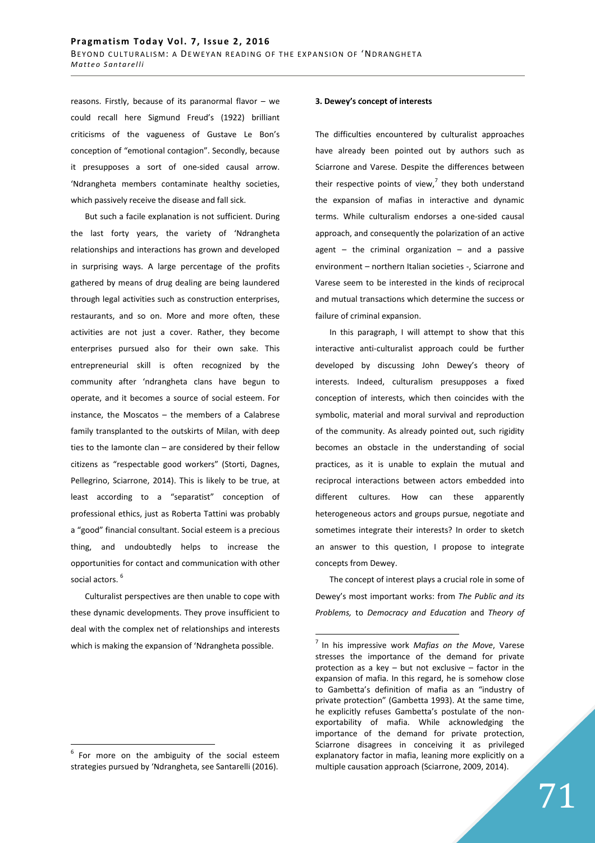reasons. Firstly, because of its paranormal flavor – we could recall here Sigmund Freud's (1922) brilliant criticisms of the vagueness of Gustave Le Bon's conception of "emotional contagion". Secondly, because it presupposes a sort of one-sided causal arrow. 'Ndrangheta members contaminate healthy societies, which passively receive the disease and fall sick.

But such a facile explanation is not sufficient. During the last forty years, the variety of 'Ndrangheta relationships and interactions has grown and developed in surprising ways. A large percentage of the profits gathered by means of drug dealing are being laundered through legal activities such as construction enterprises, restaurants, and so on. More and more often, these activities are not just a cover. Rather, they become enterprises pursued also for their own sake. This entrepreneurial skill is often recognized by the community after 'ndrangheta clans have begun to operate, and it becomes a source of social esteem. For instance, the Moscatos – the members of a Calabrese family transplanted to the outskirts of Milan, with deep ties to the Iamonte clan – are considered by their fellow citizens as "respectable good workers" (Storti, Dagnes, Pellegrino, Sciarrone, 2014). This is likely to be true, at least according to a "separatist" conception of professional ethics, just as Roberta Tattini was probably a "good" financial consultant. Social esteem is a precious thing, and undoubtedly helps to increase the opportunities for contact and communication with other social actors.<sup>6</sup>

Culturalist perspectives are then unable to cope with these dynamic developments. They prove insufficient to deal with the complex net of relationships and interests which is making the expansion of 'Ndrangheta possible.

 $\overline{a}$ 

#### **3. Dewey's concept of interests**

The difficulties encountered by culturalist approaches have already been pointed out by authors such as Sciarrone and Varese. Despite the differences between their respective points of view, $7$  they both understand the expansion of mafias in interactive and dynamic terms. While culturalism endorses a one-sided causal approach, and consequently the polarization of an active agent  $-$  the criminal organization  $-$  and a passive environment – northern Italian societies -, Sciarrone and Varese seem to be interested in the kinds of reciprocal and mutual transactions which determine the success or failure of criminal expansion.

In this paragraph, I will attempt to show that this interactive anti-culturalist approach could be further developed by discussing John Dewey's theory of interests. Indeed, culturalism presupposes a fixed conception of interests, which then coincides with the symbolic, material and moral survival and reproduction of the community. As already pointed out, such rigidity becomes an obstacle in the understanding of social practices, as it is unable to explain the mutual and reciprocal interactions between actors embedded into different cultures. How can these apparently heterogeneous actors and groups pursue, negotiate and sometimes integrate their interests? In order to sketch an answer to this question, I propose to integrate concepts from Dewey.

The concept of interest plays a crucial role in some of Dewey's most important works: from *The Public and its Problems,* to *Democracy and Education* and *Theory of* 

 $6$  For more on the ambiguity of the social esteem strategies pursued by 'Ndrangheta, see Santarelli (2016).

<sup>&</sup>lt;sup>7</sup> In his impressive work Mafias on the Move, Varese stresses the importance of the demand for private protection as a key – but not exclusive – factor in the expansion of mafia. In this regard, he is somehow close to Gambetta's definition of mafia as an "industry of private protection" (Gambetta 1993). At the same time, he explicitly refuses Gambetta's postulate of the nonexportability of mafia. While acknowledging the importance of the demand for private protection, Sciarrone disagrees in conceiving it as privileged explanatory factor in mafia, leaning more explicitly on a multiple causation approach (Sciarrone, 2009, 2014).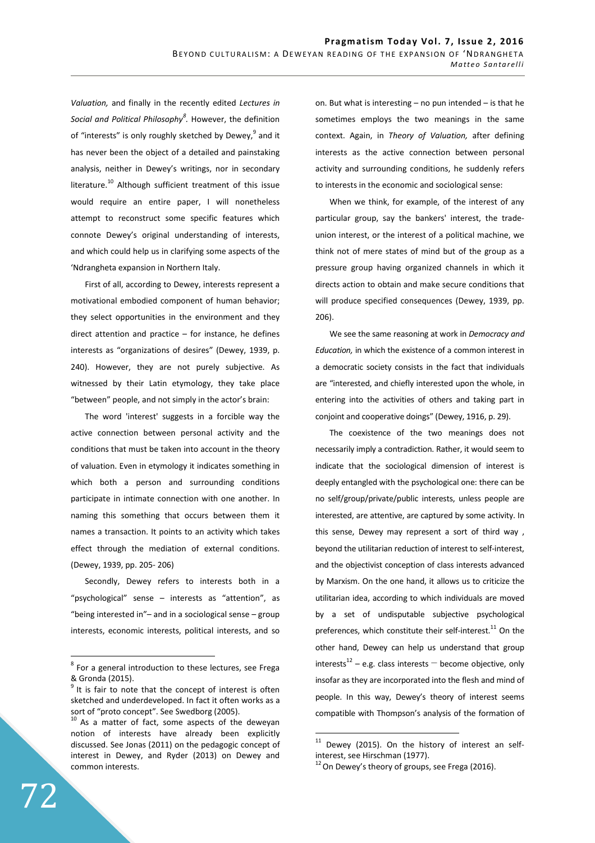*Valuation,* and finally in the recently edited *Lectures in Social and Political Philosophy<sup>8</sup> .* However, the definition of "interests" is only roughly sketched by Dewey,<sup>9</sup> and it has never been the object of a detailed and painstaking analysis, neither in Dewey's writings, nor in secondary literature.<sup>10</sup> Although sufficient treatment of this issue would require an entire paper, I will nonetheless attempt to reconstruct some specific features which connote Dewey's original understanding of interests, and which could help us in clarifying some aspects of the 'Ndrangheta expansion in Northern Italy.

First of all, according to Dewey, interests represent a motivational embodied component of human behavior; they select opportunities in the environment and they direct attention and practice – for instance, he defines interests as "organizations of desires" (Dewey, 1939, p. 240). However, they are not purely subjective. As witnessed by their Latin etymology, they take place "between" people, and not simply in the actor's brain:

The word 'interest' suggests in a forcible way the active connection between personal activity and the conditions that must be taken into account in the theory of valuation. Even in etymology it indicates something in which both a person and surrounding conditions participate in intimate connection with one another. In naming this something that occurs between them it names a transaction. It points to an activity which takes effect through the mediation of external conditions. (Dewey, 1939, pp. 205- 206)

Secondly, Dewey refers to interests both in a "psychological" sense – interests as "attention", as "being interested in"– and in a sociological sense – group interests, economic interests, political interests, and so on. But what is interesting – no pun intended – is that he sometimes employs the two meanings in the same context. Again, in *Theory of Valuation,* after defining interests as the active connection between personal activity and surrounding conditions, he suddenly refers to interests in the economic and sociological sense:

When we think, for example, of the interest of any particular group, say the bankers' interest, the tradeunion interest, or the interest of a political machine, we think not of mere states of mind but of the group as a pressure group having organized channels in which it directs action to obtain and make secure conditions that will produce specified consequences (Dewey, 1939, pp. 206).

We see the same reasoning at work in *Democracy and Education,* in which the existence of a common interest in a democratic society consists in the fact that individuals are "interested, and chiefly interested upon the whole, in entering into the activities of others and taking part in conjoint and cooperative doings" (Dewey, 1916, p. 29).

The coexistence of the two meanings does not necessarily imply a contradiction. Rather, it would seem to indicate that the sociological dimension of interest is deeply entangled with the psychological one: there can be no self/group/private/public interests, unless people are interested, are attentive, are captured by some activity. In this sense, Dewey may represent a sort of third way , beyond the utilitarian reduction of interest to self-interest, and the objectivist conception of class interests advanced by Marxism. On the one hand, it allows us to criticize the utilitarian idea, according to which individuals are moved by a set of undisputable subjective psychological preferences, which constitute their self-interest.<sup>11</sup> On the other hand, Dewey can help us understand that group interests<sup>12</sup> – e.g. class interests  $-$  become objective, only insofar as they are incorporated into the flesh and mind of people. In this way, Dewey's theory of interest seems compatible with Thompson's analysis of the formation of

 $\overline{a}$ 

 $8$  For a general introduction to these lectures, see Frega & Gronda (2015).

It is fair to note that the concept of interest is often sketched and underdeveloped. In fact it often works as a sort of "proto concept". See Swedborg (2005).

As a matter of fact, some aspects of the deweyan notion of interests have already been explicitly discussed. See Jonas (2011) on the pedagogic concept of interest in Dewey, and Ryder (2013) on Dewey and common interests.

 $11$  Dewey (2015). On the history of interest an selfinterest, see Hirschman (1977).

 $12$  On Dewey's theory of groups, see Frega (2016).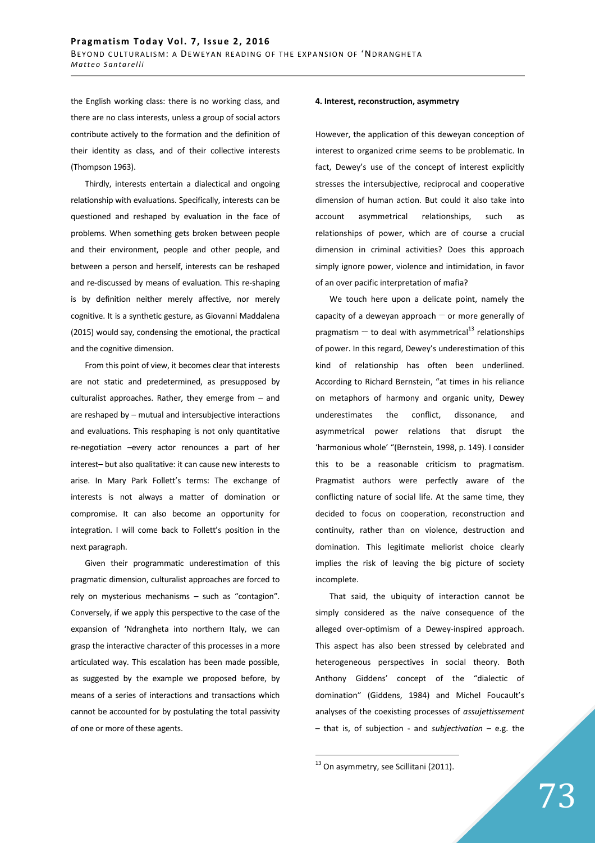the English working class: there is no working class, and there are no class interests, unless a group of social actors contribute actively to the formation and the definition of their identity as class, and of their collective interests (Thompson 1963).

Thirdly, interests entertain a dialectical and ongoing relationship with evaluations. Specifically, interests can be questioned and reshaped by evaluation in the face of problems. When something gets broken between people and their environment, people and other people, and between a person and herself, interests can be reshaped and re-discussed by means of evaluation. This re-shaping is by definition neither merely affective, nor merely cognitive. It is a synthetic gesture, as Giovanni Maddalena (2015) would say, condensing the emotional, the practical and the cognitive dimension.

From this point of view, it becomes clear that interests are not static and predetermined, as presupposed by culturalist approaches. Rather, they emerge from – and are reshaped by – mutual and intersubjective interactions and evaluations. This resphaping is not only quantitative re-negotiation –every actor renounces a part of her interest– but also qualitative: it can cause new interests to arise. In Mary Park Follett's terms: The exchange of interests is not always a matter of domination or compromise. It can also become an opportunity for integration. I will come back to Follett's position in the next paragraph.

Given their programmatic underestimation of this pragmatic dimension, culturalist approaches are forced to rely on mysterious mechanisms – such as "contagion". Conversely, if we apply this perspective to the case of the expansion of 'Ndrangheta into northern Italy, we can grasp the interactive character of this processes in a more articulated way. This escalation has been made possible, as suggested by the example we proposed before, by means of a series of interactions and transactions which cannot be accounted for by postulating the total passivity of one or more of these agents.

### **4. Interest, reconstruction, asymmetry**

However, the application of this deweyan conception of interest to organized crime seems to be problematic. In fact, Dewey's use of the concept of interest explicitly stresses the intersubjective, reciprocal and cooperative dimension of human action. But could it also take into account asymmetrical relationships, such as relationships of power, which are of course a crucial dimension in criminal activities? Does this approach simply ignore power, violence and intimidation, in favor of an over pacific interpretation of mafia?

We touch here upon a delicate point, namely the capacity of a deweyan approach  $-$  or more generally of pragmatism  $-$  to deal with asymmetrical<sup>13</sup> relationships of power. In this regard, Dewey's underestimation of this kind of relationship has often been underlined. According to Richard Bernstein, "at times in his reliance on metaphors of harmony and organic unity, Dewey underestimates the conflict, dissonance, and asymmetrical power relations that disrupt the 'harmonious whole' "(Bernstein, 1998, p. 149). I consider this to be a reasonable criticism to pragmatism. Pragmatist authors were perfectly aware of the conflicting nature of social life. At the same time, they decided to focus on cooperation, reconstruction and continuity, rather than on violence, destruction and domination. This legitimate meliorist choice clearly implies the risk of leaving the big picture of society incomplete.

That said, the ubiquity of interaction cannot be simply considered as the naïve consequence of the alleged over-optimism of a Dewey-inspired approach. This aspect has also been stressed by celebrated and heterogeneous perspectives in social theory. Both Anthony Giddens' concept of the "dialectic of domination" (Giddens, 1984) and Michel Foucault's analyses of the coexisting processes of *assujettissement*  – that is, of subjection - and *subjectivation* – e.g. the

<sup>&</sup>lt;sup>13</sup> On asymmetry, see Scillitani (2011).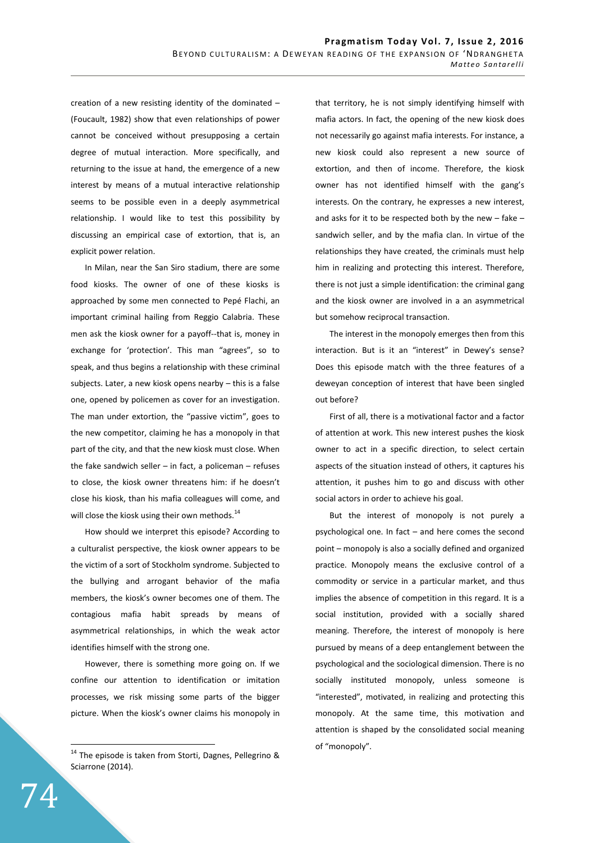creation of a new resisting identity of the dominated – (Foucault, 1982) show that even relationships of power cannot be conceived without presupposing a certain degree of mutual interaction. More specifically, and returning to the issue at hand, the emergence of a new interest by means of a mutual interactive relationship seems to be possible even in a deeply asymmetrical relationship. I would like to test this possibility by discussing an empirical case of extortion, that is, an explicit power relation.

In Milan, near the San Siro stadium, there are some food kiosks. The owner of one of these kiosks is approached by some men connected to Pepé Flachi, an important criminal hailing from Reggio Calabria. These men ask the kiosk owner for a payoff--that is, money in exchange for 'protection'. This man "agrees", so to speak, and thus begins a relationship with these criminal subjects. Later, a new kiosk opens nearby – this is a false one, opened by policemen as cover for an investigation. The man under extortion, the "passive victim", goes to the new competitor, claiming he has a monopoly in that part of the city, and that the new kiosk must close. When the fake sandwich seller  $-$  in fact, a policeman  $-$  refuses to close, the kiosk owner threatens him: if he doesn't close his kiosk, than his mafia colleagues will come, and will close the kiosk using their own methods. $^{14}$ 

How should we interpret this episode? According to a culturalist perspective, the kiosk owner appears to be the victim of a sort of Stockholm syndrome. Subjected to the bullying and arrogant behavior of the mafia members, the kiosk's owner becomes one of them. The contagious mafia habit spreads by means of asymmetrical relationships, in which the weak actor identifies himself with the strong one.

However, there is something more going on. If we confine our attention to identification or imitation processes, we risk missing some parts of the bigger picture. When the kiosk's owner claims his monopoly in that territory, he is not simply identifying himself with mafia actors. In fact, the opening of the new kiosk does not necessarily go against mafia interests. For instance, a new kiosk could also represent a new source of extortion, and then of income. Therefore, the kiosk owner has not identified himself with the gang's interests. On the contrary, he expresses a new interest, and asks for it to be respected both by the new  $-$  fake  $$ sandwich seller, and by the mafia clan. In virtue of the relationships they have created, the criminals must help him in realizing and protecting this interest. Therefore, there is not just a simple identification: the criminal gang and the kiosk owner are involved in a an asymmetrical but somehow reciprocal transaction.

The interest in the monopoly emerges then from this interaction. But is it an "interest" in Dewey's sense? Does this episode match with the three features of a deweyan conception of interest that have been singled out before?

First of all, there is a motivational factor and a factor of attention at work. This new interest pushes the kiosk owner to act in a specific direction, to select certain aspects of the situation instead of others, it captures his attention, it pushes him to go and discuss with other social actors in order to achieve his goal.

But the interest of monopoly is not purely a psychological one. In fact – and here comes the second point – monopoly is also a socially defined and organized practice. Monopoly means the exclusive control of a commodity or service in a particular market, and thus implies the absence of competition in this regard. It is a social institution, provided with a socially shared meaning. Therefore, the interest of monopoly is here pursued by means of a deep entanglement between the psychological and the sociological dimension. There is no socially instituted monopoly, unless someone is "interested", motivated, in realizing and protecting this monopoly. At the same time, this motivation and attention is shaped by the consolidated social meaning of "monopoly".

 $^{14}$  The episode is taken from Storti, Dagnes, Pellegrino & Sciarrone (2014).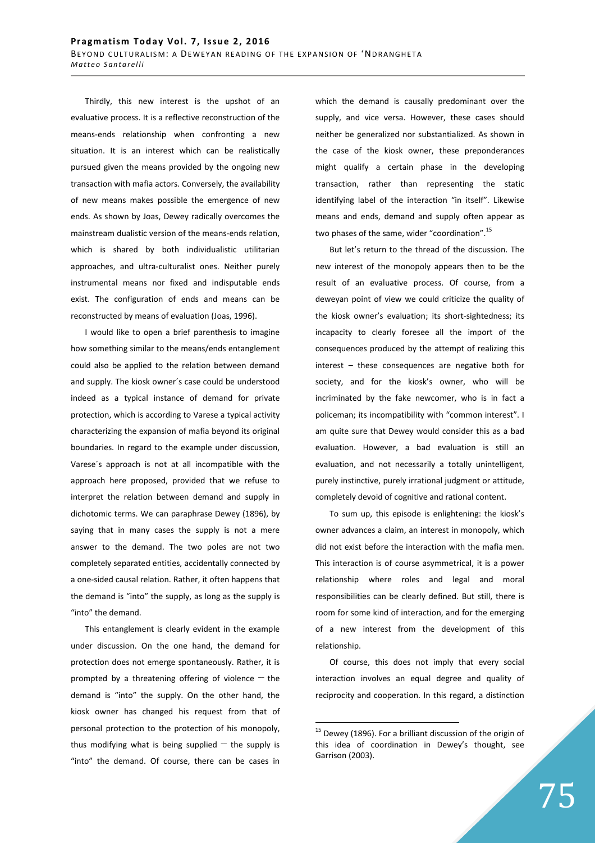Thirdly, this new interest is the upshot of an evaluative process. It is a reflective reconstruction of the means-ends relationship when confronting a new situation. It is an interest which can be realistically pursued given the means provided by the ongoing new transaction with mafia actors. Conversely, the availability of new means makes possible the emergence of new ends. As shown by Joas, Dewey radically overcomes the mainstream dualistic version of the means-ends relation, which is shared by both individualistic utilitarian approaches, and ultra-culturalist ones. Neither purely instrumental means nor fixed and indisputable ends exist. The configuration of ends and means can be reconstructed by means of evaluation (Joas, 1996).

I would like to open a brief parenthesis to imagine how something similar to the means/ends entanglement could also be applied to the relation between demand and supply. The kiosk owner´s case could be understood indeed as a typical instance of demand for private protection, which is according to Varese a typical activity characterizing the expansion of mafia beyond its original boundaries. In regard to the example under discussion, Varese´s approach is not at all incompatible with the approach here proposed, provided that we refuse to interpret the relation between demand and supply in dichotomic terms. We can paraphrase Dewey (1896), by saying that in many cases the supply is not a mere answer to the demand. The two poles are not two completely separated entities, accidentally connected by a one-sided causal relation. Rather, it often happens that the demand is "into" the supply, as long as the supply is "into" the demand.

This entanglement is clearly evident in the example under discussion. On the one hand, the demand for protection does not emerge spontaneously. Rather, it is prompted by a threatening offering of violence  $-$  the demand is "into" the supply. On the other hand, the kiosk owner has changed his request from that of personal protection to the protection of his monopoly, thus modifying what is being supplied  $-$  the supply is "into" the demand. Of course, there can be cases in which the demand is causally predominant over the supply, and vice versa. However, these cases should neither be generalized nor substantialized. As shown in the case of the kiosk owner, these preponderances might qualify a certain phase in the developing transaction, rather than representing the static identifying label of the interaction "in itself". Likewise means and ends, demand and supply often appear as two phases of the same, wider "coordination".<sup>15</sup>

But let's return to the thread of the discussion. The new interest of the monopoly appears then to be the result of an evaluative process. Of course, from a deweyan point of view we could criticize the quality of the kiosk owner's evaluation; its short-sightedness; its incapacity to clearly foresee all the import of the consequences produced by the attempt of realizing this interest – these consequences are negative both for society, and for the kiosk's owner, who will be incriminated by the fake newcomer, who is in fact a policeman; its incompatibility with "common interest". I am quite sure that Dewey would consider this as a bad evaluation. However, a bad evaluation is still an evaluation, and not necessarily a totally unintelligent, purely instinctive, purely irrational judgment or attitude, completely devoid of cognitive and rational content.

To sum up, this episode is enlightening: the kiosk's owner advances a claim, an interest in monopoly, which did not exist before the interaction with the mafia men. This interaction is of course asymmetrical, it is a power relationship where roles and legal and moral responsibilities can be clearly defined. But still, there is room for some kind of interaction, and for the emerging of a new interest from the development of this relationship.

Of course, this does not imply that every social interaction involves an equal degree and quality of reciprocity and cooperation. In this regard, a distinction

 $15$  Dewey (1896). For a brilliant discussion of the origin of this idea of coordination in Dewey's thought, see Garrison (2003).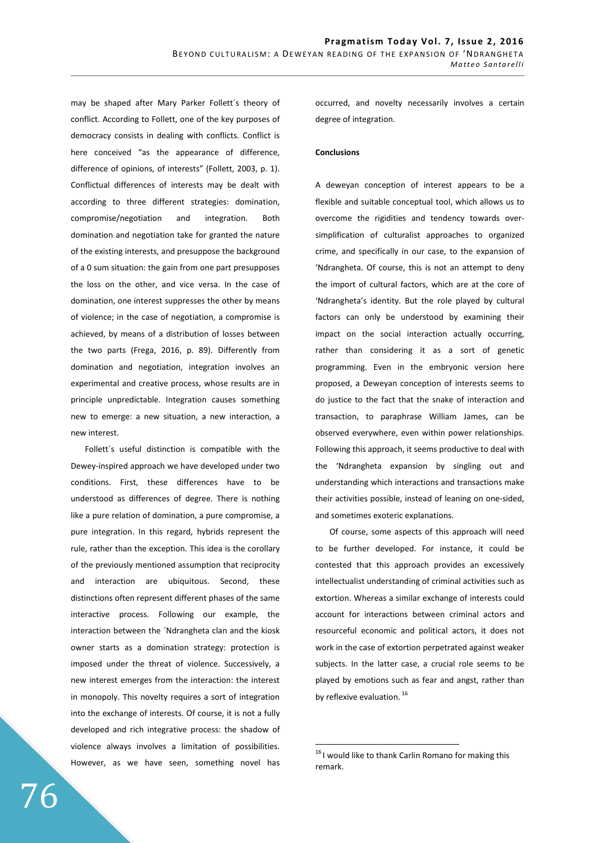may be shaped after Mary Parker Follett´s theory of conflict. According to Follett, one of the key purposes of democracy consists in dealing with conflicts. Conflict is here conceived "as the appearance of difference, difference of opinions, of interests" (Follett, 2003, p. 1). Conflictual differences of interests may be dealt with according to three different strategies: domination, compromise/negotiation and integration. Both domination and negotiation take for granted the nature of the existing interests, and presuppose the background of a 0 sum situation: the gain from one part presupposes the loss on the other, and vice versa. In the case of domination, one interest suppresses the other by means of violence; in the case of negotiation, a compromise is achieved, by means of a distribution of losses between the two parts (Frega, 2016, p. 89). Differently from domination and negotiation, integration involves an experimental and creative process, whose results are in principle unpredictable. Integration causes something new to emerge: a new situation, a new interaction, a new interest.

Follett´s useful distinction is compatible with the Dewey-inspired approach we have developed under two conditions. First, these differences have to be understood as differences of degree. There is nothing like a pure relation of domination, a pure compromise, a pure integration. In this regard, hybrids represent the rule, rather than the exception. This idea is the corollary of the previously mentioned assumption that reciprocity and interaction are ubiquitous. Second, these distinctions often represent different phases of the same interactive process. Following our example, the interaction between the ´Ndrangheta clan and the kiosk owner starts as a domination strategy: protection is imposed under the threat of violence. Successively, a new interest emerges from the interaction: the interest in monopoly. This novelty requires a sort of integration into the exchange of interests. Of course, it is not a fully developed and rich integrative process: the shadow of violence always involves a limitation of possibilities. However, as we have seen, something novel has occurred, and novelty necessarily involves a certain degree of integration.

## **Conclusions**

A deweyan conception of interest appears to be a flexible and suitable conceptual tool, which allows us to overcome the rigidities and tendency towards oversimplification of culturalist approaches to organized crime, and specifically in our case, to the expansion of 'Ndrangheta. Of course, this is not an attempt to deny the import of cultural factors, which are at the core of 'Ndrangheta's identity. But the role played by cultural factors can only be understood by examining their impact on the social interaction actually occurring, rather than considering it as a sort of genetic programming. Even in the embryonic version here proposed, a Deweyan conception of interests seems to do justice to the fact that the snake of interaction and transaction, to paraphrase William James, can be observed everywhere, even within power relationships. Following this approach, it seems productive to deal with the 'Ndrangheta expansion by singling out and understanding which interactions and transactions make their activities possible, instead of leaning on one-sided, and sometimes exoteric explanations.

Of course, some aspects of this approach will need to be further developed. For instance, it could be contested that this approach provides an excessively intellectualist understanding of criminal activities such as extortion. Whereas a similar exchange of interests could account for interactions between criminal actors and resourceful economic and political actors, it does not work in the case of extortion perpetrated against weaker subjects. In the latter case, a crucial role seems to be played by emotions such as fear and angst, rather than by reflexive evaluation.  $^{16}$ 

 $^{16}$ I would like to thank Carlin Romano for making this remark.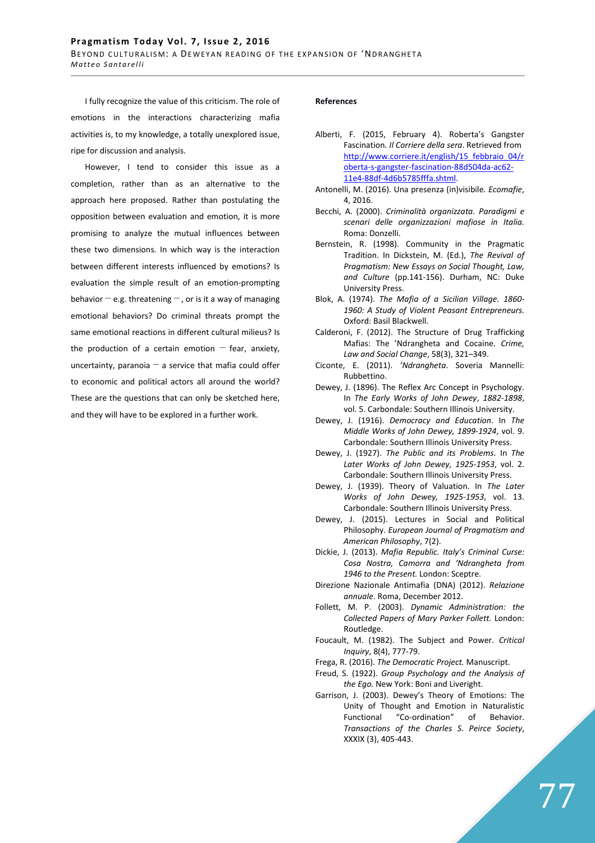I fully recognize the value of this criticism. The role of emotions in the interactions characterizing mafia activities is, to my knowledge, a totally unexplored issue, ripe for discussion and analysis.

However, I tend to consider this issue as a completion, rather than as an alternative to the approach here proposed. Rather than postulating the opposition between evaluation and emotion, it is more promising to analyze the mutual influences between these two dimensions. In which way is the interaction between different interests influenced by emotions? Is evaluation the simple result of an emotion-prompting behavior  $-e.g.$  threatening  $-$  , or is it a way of managing emotional behaviors? Do criminal threats prompt the same emotional reactions in different cultural milieus? Is the production of a certain emotion  $-$  fear, anxiety, uncertainty, paranoia  $-$  a service that mafia could offer to economic and political actors all around the world? These are the questions that can only be sketched here, and they will have to be explored in a further work.

#### **References**

- Alberti, F. (2015, February 4). Roberta's Gangster Fascination*. Il Corriere della sera*. Retrieved from http://www.corriere.it/english/15 febbraio\_04/r oberta-s-gangster-fascination-88d504da-ac62- 11e4-88df-4d6b5785fffa.shtml.
- Antonelli, M. (2016). Una presenza (in)visibile*. Ecomafie*, 4, 2016.
- Becchi, A. (2000). *Criminalità organizzata. Paradigmi e scenari delle organizzazioni mafiose in Italia.*  Roma: Donzelli.
- Bernstein, R. (1998). Community in the Pragmatic Tradition. In Dickstein, M. (Ed.), *The Revival of Pragmatism: New Essays on Social Thought, Law, and Culture* (pp.141-156). Durham, NC: Duke University Press.
- Blok, A. (1974). *The Mafia of a Sicilian Village. 1860- 1960: A Study of Violent Peasant Entrepreneurs.*  Oxford: Basil Blackwell.
- Calderoni, F. (2012). The Structure of Drug Trafficking Mafias: The 'Ndrangheta and Cocaine. *Crime, Law and Social Change*, 58(3), 321–349.
- Ciconte, E. (2011). *'Ndrangheta*. Soveria Mannelli: Rubbettino.
- Dewey, J. (1896). The Reflex Arc Concept in Psychology. In *The Early Works of John Dewey*, *1882-1898*, vol. 5. Carbondale: Southern Illinois University.
- Dewey, J. (1916). *Democracy and Education*. In *The Middle Works of John Dewey, 1899-1924*, vol. 9. Carbondale: Southern Illinois University Press.
- Dewey, J. (1927). *The Public and its Problems*. In *The Later Works of John Dewey, 1925-1953*, vol. 2. Carbondale: Southern Illinois University Press.
- Dewey, J. (1939). Theory of Valuation. In *The Later Works of John Dewey, 1925-1953*, vol. 13. Carbondale: Southern Illinois University Press.
- Dewey, J. (2015). Lectures in Social and Political Philosophy. *European Journal of Pragmatism and American Philosophy*, 7(2).
- Dickie, J. (2013). *Mafia Republic. Italy's Criminal Curse: Cosa Nostra, Camorra and 'Ndrangheta from 1946 to the Present.* London: Sceptre.
- Direzione Nazionale Antimafia (DNA) (2012). *Relazione annuale*. Roma, December 2012.
- Follett, M. P. (2003). *Dynamic Administration: the Collected Papers of Mary Parker Follett.* London: Routledge.
- Foucault, M. (1982). The Subject and Power. *Critical Inquiry*, 8(4), 777-79.
- Frega, R. (2016). *The Democratic Project.* Manuscript.
- Freud, S. (1922). *Group Psychology and the Analysis of the Ego.* New York: Boni and Liveright.
- Garrison, J. (2003). Dewey's Theory of Emotions: The Unity of Thought and Emotion in Naturalistic Functional "Co-ordination" of Behavior. *Transactions of the Charles S. Peirce Society*, XXXIX (3), 405-443.

77